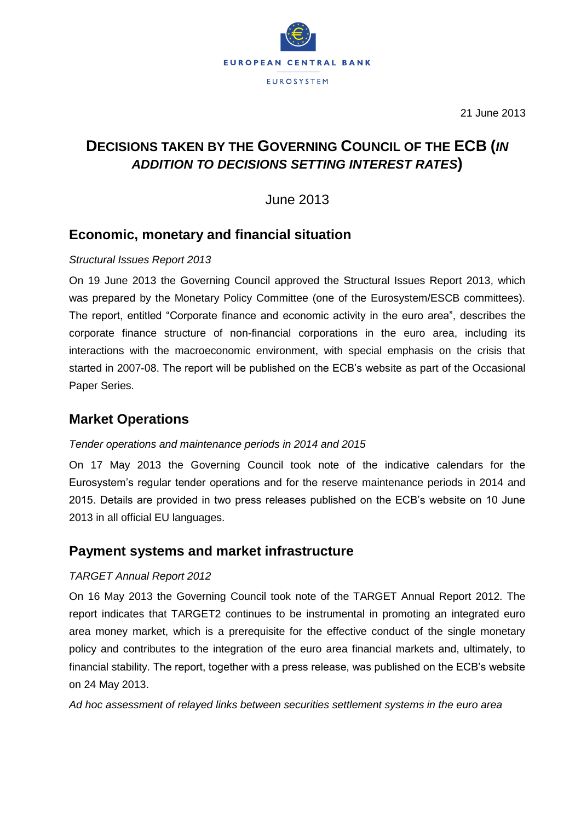

21 June 2013

# **DECISIONS TAKEN BY THE GOVERNING COUNCIL OF THE ECB (***IN ADDITION TO DECISIONS SETTING INTEREST RATES***)**

June 2013

## **Economic, monetary and financial situation**

### *Structural Issues Report 2013*

On 19 June 2013 the Governing Council approved the Structural Issues Report 2013, which was prepared by the Monetary Policy Committee (one of the Eurosystem/ESCB committees). The report, entitled "Corporate finance and economic activity in the euro area", describes the corporate finance structure of non-financial corporations in the euro area, including its interactions with the macroeconomic environment, with special emphasis on the crisis that started in 2007-08. The report will be published on the ECB's website as part of the Occasional Paper Series.

## **Market Operations**

### *Tender operations and maintenance periods in 2014 and 2015*

On 17 May 2013 the Governing Council took note of the indicative calendars for the Eurosystem's regular tender operations and for the reserve maintenance periods in 2014 and 2015. Details are provided in two press releases published on the ECB's website on 10 June 2013 in all official EU languages.

### **Payment systems and market infrastructure**

### *TARGET Annual Report 2012*

On 16 May 2013 the Governing Council took note of the TARGET Annual Report 2012. The report indicates that TARGET2 continues to be instrumental in promoting an integrated euro area money market, which is a prerequisite for the effective conduct of the single monetary policy and contributes to the integration of the euro area financial markets and, ultimately, to financial stability. The report, together with a press release, was published on the ECB's website on 24 May 2013.

*Ad hoc assessment of relayed links between securities settlement systems in the euro area*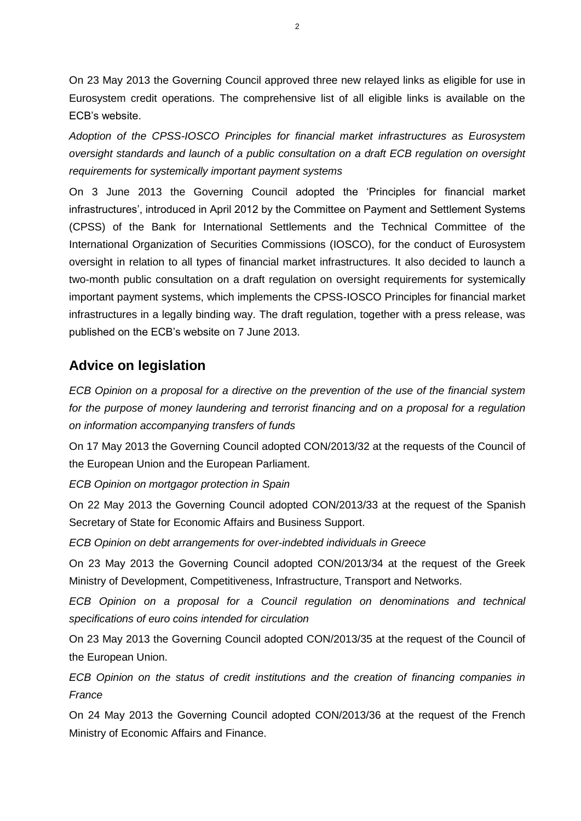On 23 May 2013 the Governing Council approved three new relayed links as eligible for use in Eurosystem credit operations. The comprehensive list of all eligible links is available on the ECB's website.

*Adoption of the CPSS-IOSCO Principles for financial market infrastructures as Eurosystem oversight standards and launch of a public consultation on a draft ECB regulation on oversight requirements for systemically important payment systems*

On 3 June 2013 the Governing Council adopted the 'Principles for financial market infrastructures', introduced in April 2012 by the Committee on Payment and Settlement Systems (CPSS) of the Bank for International Settlements and the Technical Committee of the International Organization of Securities Commissions (IOSCO), for the conduct of Eurosystem oversight in relation to all types of financial market infrastructures. It also decided to launch a two-month public consultation on a draft regulation on oversight requirements for systemically important payment systems, which implements the CPSS-IOSCO Principles for financial market infrastructures in a legally binding way. The draft regulation, together with a press release, was published on the ECB's website on 7 June 2013.

## **Advice on legislation**

*ECB Opinion on a proposal for a directive on the prevention of the use of the financial system*  for the purpose of money laundering and terrorist financing and on a proposal for a regulation *on information accompanying transfers of funds* 

On 17 May 2013 the Governing Council adopted CON/2013/32 at the requests of the Council of the European Union and the European Parliament.

*ECB Opinion on mortgagor protection in Spain*

On 22 May 2013 the Governing Council adopted CON/2013/33 at the request of the Spanish Secretary of State for Economic Affairs and Business Support.

*ECB Opinion on debt arrangements for over-indebted individuals in Greece*

On 23 May 2013 the Governing Council adopted CON/2013/34 at the request of the Greek Ministry of Development, Competitiveness, Infrastructure, Transport and Networks.

*ECB Opinion on a proposal for a Council regulation on denominations and technical specifications of euro coins intended for circulation*

On 23 May 2013 the Governing Council adopted CON/2013/35 at the request of the Council of the European Union.

*ECB Opinion on the status of credit institutions and the creation of financing companies in France*

On 24 May 2013 the Governing Council adopted CON/2013/36 at the request of the French Ministry of Economic Affairs and Finance.